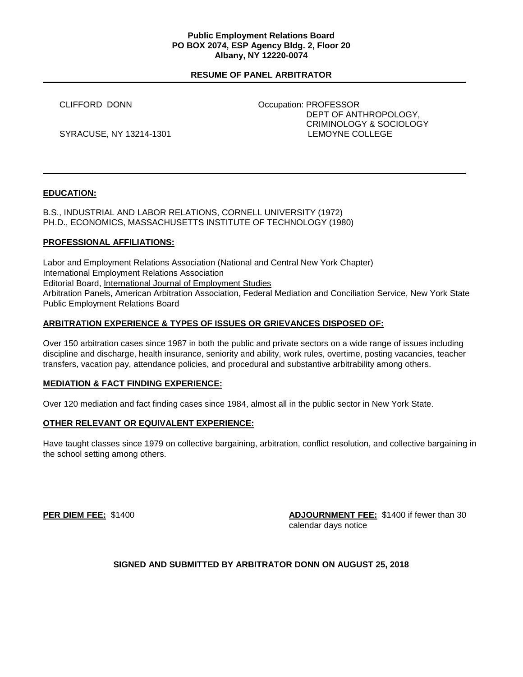### **Public Employment Relations Board PO BOX 2074, ESP Agency Bldg. 2, Floor 20 Albany, NY 12220-0074**

## **RESUME OF PANEL ARBITRATOR**

 CLIFFORD DONN Occupation: PROFESSOR DEPT OF ANTHROPOLOGY, CRIMINOLOGY & SOCIOLOGY SYRACUSE, NY 13214-1301 COLLEGE LEMOYNE COLLEGE

## **EDUCATION:**

B.S., INDUSTRIAL AND LABOR RELATIONS, CORNELL UNIVERSITY (1972) PH.D., ECONOMICS, MASSACHUSETTS INSTITUTE OF TECHNOLOGY (1980)

## **PROFESSIONAL AFFILIATIONS:**

Labor and Employment Relations Association (National and Central New York Chapter) International Employment Relations Association Editorial Board, International Journal of Employment Studies Arbitration Panels, American Arbitration Association, Federal Mediation and Conciliation Service, New York State Public Employment Relations Board

## **ARBITRATION EXPERIENCE & TYPES OF ISSUES OR GRIEVANCES DISPOSED OF:**

Over 150 arbitration cases since 1987 in both the public and private sectors on a wide range of issues including discipline and discharge, health insurance, seniority and ability, work rules, overtime, posting vacancies, teacher transfers, vacation pay, attendance policies, and procedural and substantive arbitrability among others.

### **MEDIATION & FACT FINDING EXPERIENCE:**

Over 120 mediation and fact finding cases since 1984, almost all in the public sector in New York State.

### **OTHER RELEVANT OR EQUIVALENT EXPERIENCE:**

Have taught classes since 1979 on collective bargaining, arbitration, conflict resolution, and collective bargaining in the school setting among others.

**PER DIEM FEE:** \$1400 **ADJOURNMENT FEE:** \$1400 if fewer than 30 calendar days notice

# **SIGNED AND SUBMITTED BY ARBITRATOR DONN ON AUGUST 25, 2018**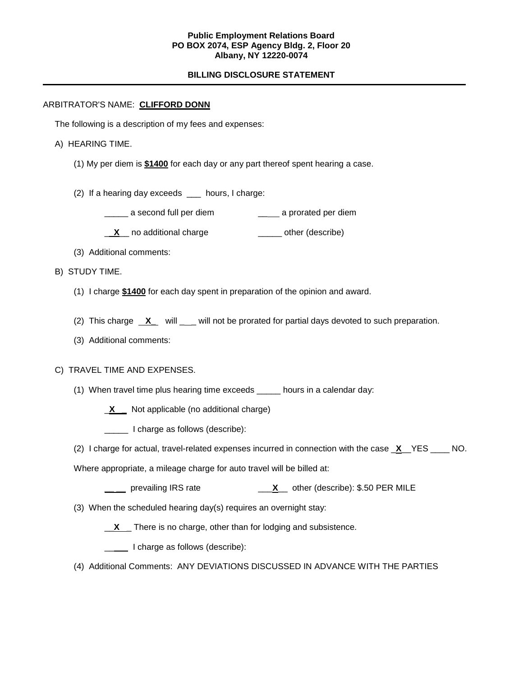### **Public Employment Relations Board PO BOX 2074, ESP Agency Bldg. 2, Floor 20 Albany, NY 12220-0074**

# **BILLING DISCLOSURE STATEMENT**

## ARBITRATOR'S NAME: **CLIFFORD DONN**

The following is a description of my fees and expenses:

## A) HEARING TIME.

- (1) My per diem is **\$1400** for each day or any part thereof spent hearing a case.
- (2) If a hearing day exceeds \_\_\_ hours, I charge:
	- essecond full per diem and second full per diem a prorated per diem
	- **X** no additional charge **William** other (describe)
- (3) Additional comments:

## B) STUDY TIME.

- (1) I charge **\$1400** for each day spent in preparation of the opinion and award.
- (2) This charge **X** will \_\_ will not be prorated for partial days devoted to such preparation.
- (3) Additional comments:

### C) TRAVEL TIME AND EXPENSES.

- (1) When travel time plus hearing time exceeds \_\_\_\_\_ hours in a calendar day:
	- \_**X \_** Not applicable (no additional charge)
	- I charge as follows (describe):
- (2) I charge for actual, travel-related expenses incurred in connection with the case \_**X**\_\_YES \_\_\_\_ NO.

Where appropriate, a mileage charge for auto travel will be billed at:

- **\_\_ \_\_** prevailing IRS rate \_\_\_**X**\_\_ other (describe): \$.50 PER MILE
- (3) When the scheduled hearing day(s) requires an overnight stay:

\_\_**X** \_ There is no charge, other than for lodging and subsistence.

**LETT** I charge as follows (describe):

(4) Additional Comments: ANY DEVIATIONS DISCUSSED IN ADVANCE WITH THE PARTIES